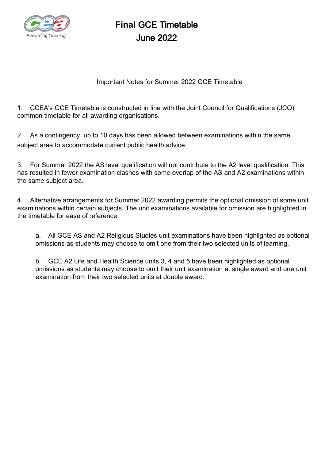

# **Final** GCE Timetable June 2022

### Important Notes for Summer 2022 GCE Timetable

1. CCEA's GCE Timetable is constructed in line with the Joint Council for Qualifications (JCQ) common timetable for all awarding organisations.

2. As a contingency, up to 10 days has been allowed between examinations within the same subject area to accommodate current public health advice.

3. For Summer 2022 the AS level qualification will not contribute to the A2 level qualification. This has resulted in fewer examination clashes with some overlap of the AS and A2 examinations within the same subject area.

4. Alternative arrangements for Summer 2022 awarding permits the optional omission of some unit examinations within certain subjects. The unit examinations available for omission are highlighted in the timetable for ease of reference.

a. All GCE AS and A2 Religious Studies unit examinations have been highlighted as optional omissions as students may choose to omit one from their two selected units of learning.

b. GCE A2 Life and Health Science units 3, 4 and 5 have been highlighted as optional omissions as students may choose to omit their unit examination at single award and one unit examination from their two selected units at double award.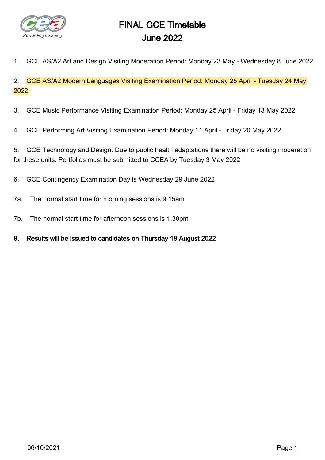

# FINAL GCE Timetable June 2022

1. GCE AS/A2 Art and Design Visiting Moderation Period: Monday 23 May - Wednesday 8 June 2022

2. GCE AS/A2 Modern Languages Visiting Examination Period: Monday 25 April - Tuesday 24 May 2022

- 3. GCE Music Performance Visiting Examination Period: Monday 25 April Friday 13 May 2022
- 4. GCE Performing Art Visiting Examination Period: Monday 11 April Friday 20 May 2022

5. GCE Technology and Design: Due to public health adaptations there will be no visiting moderation for these units. Portfolios must be submitted to CCEA by Tuesday 3 May 2022

- 6. GCE Contingency Examination Day is Wednesday 29 June 2022
- 7a. The normal start time for morning sessions is 9.15am
- 7b. The normal start time for afternoon sessions is 1.30pm
- 8. Results will be issued to candidates on Thursday 18 August 2022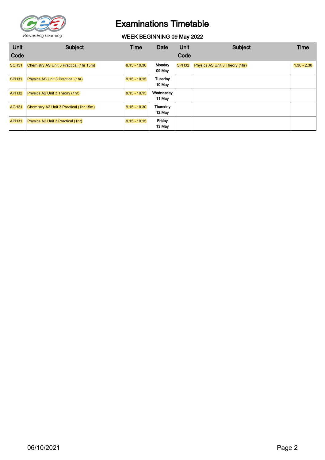

WEEK BEGINNING 09 May 2022

| <b>Unit</b>       | <b>Subject</b>                           | Time           | Date                | Unit              | <b>Subject</b>                        | Time          |
|-------------------|------------------------------------------|----------------|---------------------|-------------------|---------------------------------------|---------------|
| Code              |                                          |                |                     | Code              |                                       |               |
| SCH <sub>31</sub> | Chemistry AS Unit 3 Practical (1hr 15m)  | $9.15 - 10.30$ | Monday<br>09 May    | SPH <sub>32</sub> | <b>Physics AS Unit 3 Theory (1hr)</b> | $1.30 - 2.30$ |
| SPH31             | <b>Physics AS Unit 3 Practical (1hr)</b> | $9.15 - 10.15$ | Tuesday<br>10 May   |                   |                                       |               |
| APH <sub>32</sub> | Physics A2 Unit 3 Theory (1hr)           | $9.15 - 10.15$ | Wednesday<br>11 May |                   |                                       |               |
| ACH <sub>31</sub> | Chemistry A2 Unit 3 Practical (1hr 15m)  | $9.15 - 10.30$ | Thursday<br>12 May  |                   |                                       |               |
| APH31             | Physics A2 Unit 3 Practical (1hr)        | $9.15 - 10.15$ | Friday<br>13 May    |                   |                                       |               |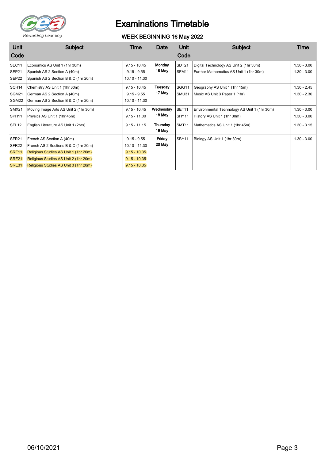

### WEEK BEGINNING 16 May 2022

| <b>Unit</b><br>Code                                                           | <b>Subject</b>                                                                                                                                                                               | Time                                                                                   | Date                | Unit<br>Code   | <b>Subject</b>                                                                    | Time                           |
|-------------------------------------------------------------------------------|----------------------------------------------------------------------------------------------------------------------------------------------------------------------------------------------|----------------------------------------------------------------------------------------|---------------------|----------------|-----------------------------------------------------------------------------------|--------------------------------|
| SEC <sub>11</sub><br>SEP21<br>SEP22                                           | Economics AS Unit 1 (1hr 30m)<br>Spanish AS 2 Section A (40m)<br>Spanish AS 2 Section B & C (1hr 20m)                                                                                        | $9.15 - 10.45$<br>$9.15 - 9.55$<br>10.10 - 11.30                                       | Monday<br>16 May    | SDT21<br>SFM11 | Digital Technology AS Unit 2 (1hr 30m)<br>Further Mathematics AS Unit 1 (1hr 30m) | $1.30 - 3.00$<br>$1.30 - 3.00$ |
| SCH <sub>14</sub><br>SGM21<br>SGM22                                           | Chemistry AS Unit 1 (1hr 30m)<br>German AS 2 Section A (40m)<br>German AS 2 Section B & C (1hr 20m)                                                                                          | $9.15 - 10.45$<br>$9.15 - 9.55$<br>10.10 - 11.30                                       | Tuesday<br>17 May   | SGG11<br>SMU31 | Geography AS Unit 1 (1hr 15m)<br>Music AS Unit 3 Paper 1 (1hr)                    | $1.30 - 2.45$<br>$1.30 - 2.30$ |
| SMX21<br>SPH <sub>11</sub>                                                    | Moving Image Arts AS Unit 2 (1hr 30m)<br>Physics AS Unit 1 (1hr 45m)                                                                                                                         | $9.15 - 10.45$<br>$9.15 - 11.00$                                                       | Wednesday<br>18 May | SET11<br>SHY11 | Environmental Technology AS Unit 1 (1hr 30m)<br>History AS Unit 1 (1hr 30m)       | $1.30 - 3.00$<br>$1.30 - 3.00$ |
| SEL <sub>12</sub>                                                             | English Literature AS Unit 1 (2hrs)                                                                                                                                                          | $9.15 - 11.15$                                                                         | Thursday<br>19 May  | SMT11          | Mathematics AS Unit 1 (1hr 45m)                                                   | $1.30 - 3.15$                  |
| SFR <sub>21</sub><br>SFR <sub>22</sub><br>SRE <sub>11</sub><br>SRE21<br>SRE31 | French AS Section A (40m)<br>French AS 2 Sections B & C (1hr 20m)<br>Religious Studies AS Unit 1 (1hr 20m)<br>Religious Studies AS Unit 2 (1hr 20m)<br>Religious Studies AS Unit 3 (1hr 20m) | $9.15 - 9.55$<br>$10.10 - 11.30$<br>$9.15 - 10.35$<br>$9.15 - 10.35$<br>$9.15 - 10.35$ | Friday<br>20 May    | SBY11          | Biology AS Unit 1 (1hr 30m)                                                       | $1.30 - 3.00$                  |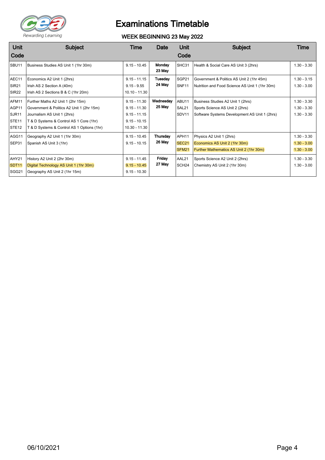

### WEEK BEGINNING 23 May 2022

| Unit              | <b>Subject</b>                             | Time           | Date      | Unit              | <b>Subject</b>                                 | Time          |
|-------------------|--------------------------------------------|----------------|-----------|-------------------|------------------------------------------------|---------------|
| Code              |                                            |                |           | Code              |                                                |               |
| SBU <sub>11</sub> | Business Studies AS Unit 1 (1hr 30m)       | $9.15 - 10.45$ | Monday    | SHC31             | Health & Social Care AS Unit 3 (2hrs)          | $1.30 - 3.30$ |
|                   |                                            |                | 23 May    |                   |                                                |               |
| AEC11             | Economics A2 Unit 1 (2hrs)                 | $9.15 - 11.15$ | Tuesday   | SGP21             | Government & Politics AS Unit 2 (1hr 45m)      | $1.30 - 3.15$ |
| <b>SIR21</b>      | Irish AS 2 Section A (40m)                 | $9.15 - 9.55$  | 24 May    | SNF11             | Nutrition and Food Science AS Unit 1 (1hr 30m) | $1.30 - 3.00$ |
| <b>SIR22</b>      | Irish AS 2 Sections B & C (1hr 20m)        | 10.10 - 11.30  |           |                   |                                                |               |
| AFM11             | Further Maths A2 Unit 1 (2hr 15m)          | $9.15 - 11.30$ | Wednesday | ABU11             | Business Studies A2 Unit 1 (2hrs)              | $1.30 - 3.30$ |
| AGP11             | Government & Politics A2 Unit 1 (2hr 15m)  | $9.15 - 11.30$ | 25 May    | SAL21             | Sports Science AS Unit 2 (2hrs)                | $1.30 - 3.30$ |
| SJR <sub>11</sub> | Journalism AS Unit 1 (2hrs)                | $9.15 - 11.15$ |           | SDV11             | Software Systems Development AS Unit 1 (2hrs)  | $1.30 - 3.30$ |
| STE <sub>11</sub> | T & D Systems & Control AS 1 Core (1hr)    | $9.15 - 10.15$ |           |                   |                                                |               |
| STE <sub>12</sub> | T & D Systems & Control AS 1 Options (1hr) | 10.30 - 11.30  |           |                   |                                                |               |
| AGG11             | Geography A2 Unit 1 (1hr 30m)              | $9.15 - 10.45$ | Thursday  | APH11             | Physics A2 Unit 1 (2hrs)                       | $1.30 - 3.30$ |
| SEP31             | Spanish AS Unit 3 (1hr)                    | $9.15 - 10.15$ | 26 May    | SEC <sub>21</sub> | Economics AS Unit 2 (1hr 30m)                  | $1.30 - 3.00$ |
|                   |                                            |                |           | SFM21             | Further Mathematics AS Unit 2 (1hr 30m)        | $1.30 - 3.00$ |
| AHY21             | History A2 Unit 2 (2hr 30m)                | $9.15 - 11.45$ | Friday    | AAL21             | Sports Science A2 Unit 2 (2hrs)                | $1.30 - 3.30$ |
| <b>SDT11</b>      | Digital Technology AS Unit 1 (1hr 30m)     | $9.15 - 10.45$ | 27 May    | SCH <sub>24</sub> | Chemistry AS Unit 2 (1hr 30m)                  | $1.30 - 3.00$ |
| SGG21             | Geography AS Unit 2 (1hr 15m)              | $9.15 - 10.30$ |           |                   |                                                |               |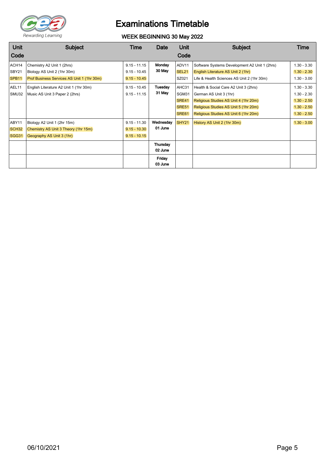

### WEEK BEGINNING 30 May 2022

| <b>Unit</b>       | <b>Subject</b>                             | Time           | Date      | Unit         | <b>Subject</b>                                | Time          |
|-------------------|--------------------------------------------|----------------|-----------|--------------|-----------------------------------------------|---------------|
| Code              |                                            |                |           | Code         |                                               |               |
| ACH14             | Chemistry A2 Unit 1 (2hrs)                 | $9.15 - 11.15$ | Monday    | ADV11        | Software Systems Development A2 Unit 1 (2hrs) | $1.30 - 3.30$ |
| SBY21             | Biology AS Unit 2 (1hr 30m)                | $9.15 - 10.45$ | 30 May    | <b>SEL21</b> | English Literature AS Unit 2 (1hr)            | $1.30 - 2.30$ |
| SPB <sub>11</sub> | Prof Business Services AS Unit 1 (1hr 30m) | $9.15 - 10.45$ |           | SZ021        | Life & Health Sciences AS Unit 2 (1hr 30m)    | $1.30 - 3.00$ |
| AEL11             | English Literature A2 Unit 1 (1hr 30m)     | $9.15 - 10.45$ | Tuesday   | AHC31        | Health & Social Care A2 Unit 3 (2hrs)         | $1.30 - 3.30$ |
| SMU32             | Music AS Unit 3 Paper 2 (2hrs)             | $9.15 - 11.15$ | 31 May    | SGM31        | German AS Unit 3 (1hr)                        | $1.30 - 2.30$ |
|                   |                                            |                |           | SRE41        | Religious Studies AS Unit 4 (1hr 20m)         | $1.30 - 2.50$ |
|                   |                                            |                |           | <b>SRE51</b> | Religious Studies AS Unit 5 (1hr 20m)         | $1.30 - 2.50$ |
|                   |                                            |                |           | SRE61        | Religious Studies AS Unit 6 (1hr 20m)         | $1.30 - 2.50$ |
| ABY11             | Biology A2 Unit 1 (2hr 15m)                | $9.15 - 11.30$ | Wednesday | SHY21        | History AS Unit 2 (1hr 30m)                   | $1.30 - 3.00$ |
| SCH <sub>32</sub> | Chemistry AS Unit 3 Theory (1hr 15m)       | $9.15 - 10.30$ | 01 June   |              |                                               |               |
| SGG31             | Geography AS Unit 3 (1hr)                  | $9.15 - 10.15$ |           |              |                                               |               |
|                   |                                            |                | Thursday  |              |                                               |               |
|                   |                                            |                | 02 June   |              |                                               |               |
|                   |                                            |                | Friday    |              |                                               |               |
|                   |                                            |                | 03 June   |              |                                               |               |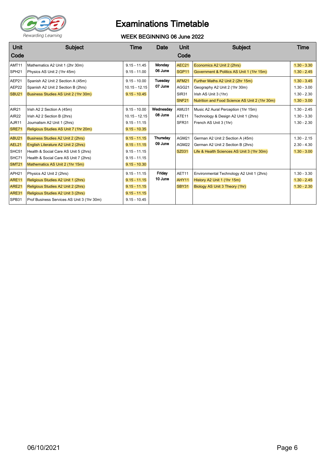

### WEEK BEGINNING 06 June 2022

| <b>Unit</b>       | Subject                                    | Time            | Date      | <b>Unit</b>       | <b>Subject</b>                                 | Time          |
|-------------------|--------------------------------------------|-----------------|-----------|-------------------|------------------------------------------------|---------------|
| Code              |                                            |                 |           | Code              |                                                |               |
| AMT11             | Mathematics A2 Unit 1 (2hr 30m)            | $9.15 - 11.45$  | Monday    | AEC21             | Economics A2 Unit 2 (2hrs)                     | $1.30 - 3.30$ |
| SPH <sub>21</sub> | Physics AS Unit 2 (1hr 45m)                | $9.15 - 11.00$  | 06 June   | SGP <sub>11</sub> | Government & Politics AS Unit 1 (1hr 15m)      | $1.30 - 2.45$ |
| AEP21             | Spanish A2 Unit 2 Section A (45m)          | $9.15 - 10.00$  | Tuesday   | AFM21             | Further Maths A2 Unit 2 (2hr 15m)              | $1.30 - 3.45$ |
| AEP22             | Spanish A2 Unit 2 Section B (2hrs)         | $10.15 - 12.15$ | 07 June   | AGG21             | Geography A2 Unit 2 (1hr 30m)                  | $1.30 - 3.00$ |
| <b>SBU21</b>      | Business Studies AS Unit 2 (1hr 30m)       | $9.15 - 10.45$  |           | <b>SIR31</b>      | Irish AS Unit 3 (1hr)                          | $1.30 - 2.30$ |
|                   |                                            |                 |           | <b>SNF21</b>      | Nutrition and Food Science AS Unit 2 (1hr 30m) | $1.30 - 3.00$ |
| AIR21             | Irish A2 2 Section A (45m)                 | $9.15 - 10.00$  | Wednesday | AMU31             | Music A2 Aural Perception (1hr 15m)            | $1.30 - 2.45$ |
| <b>AIR22</b>      | Irish A2 2 Section B (2hrs)                | $10.15 - 12.15$ | 08 June   | ATE <sub>11</sub> | Technology & Design A2 Unit 1 (2hrs)           | $1.30 - 3.30$ |
| AJR11             | Journalism A2 Unit 1 (2hrs)                | $9.15 - 11.15$  |           | SFR31             | French AS Unit 3 (1hr)                         | $1.30 - 2.30$ |
| <b>SRE71</b>      | Religious Studies AS Unit 7 (1hr 20m)      | $9.15 - 10.35$  |           |                   |                                                |               |
| ABU21             | Business Studies A2 Unit 2 (2hrs)          | $9.15 - 11.15$  | Thursday  | AGM21             | German A2 Unit 2 Section A (45m)               | $1.30 - 2.15$ |
| AEL21             | English Literature A2 Unit 2 (2hrs)        | $9.15 - 11.15$  | 09 June   | AGM22             | German A2 Unit 2 Section B (2hrs)              | $2.30 - 4.30$ |
| SHC51             | Health & Social Care AS Unit 5 (2hrs)      | $9.15 - 11.15$  |           | SZ031             | Life & Health Sciences AS Unit 3 (1hr 30m)     | $1.30 - 3.00$ |
| SHC71             | Health & Social Care AS Unit 7 (2hrs)      | $9.15 - 11.15$  |           |                   |                                                |               |
| <b>SMT21</b>      | Mathematics AS Unit 2 (1hr 15m)            | $9.15 - 10.30$  |           |                   |                                                |               |
| APH <sub>21</sub> | Physics A2 Unit 2 (2hrs)                   | $9.15 - 11.15$  | Friday    | AET11             | Environmental Technology A2 Unit 1 (2hrs)      | $1.30 - 3.30$ |
| <b>ARE11</b>      | Religious Studies A2 Unit 1 (2hrs)         | $9.15 - 11.15$  | 10 June   | AHY11             | History A2 Unit 1 (1hr 15m)                    | $1.30 - 2.45$ |
| <b>ARE21</b>      | Religious Studies A2 Unit 2 (2hrs)         | $9.15 - 11.15$  |           | SBY31             | Biology AS Unit 3 Theory (1hr)                 | $1.30 - 2.30$ |
| <b>ARE31</b>      | Religious Studies A2 Unit 3 (2hrs)         | $9.15 - 11.15$  |           |                   |                                                |               |
| SPB31             | Prof Business Services AS Unit 3 (1hr 30m) | $9.15 - 10.45$  |           |                   |                                                |               |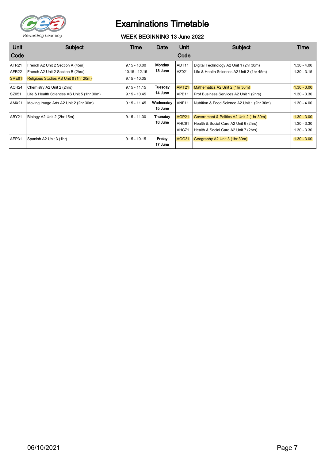

### WEEK BEGINNING 13 June 2022

| Unit                                   | <b>Subject</b>                                                           | Time                              | Date                 | Unit                  | Subject                                                                              | Time                           |
|----------------------------------------|--------------------------------------------------------------------------|-----------------------------------|----------------------|-----------------------|--------------------------------------------------------------------------------------|--------------------------------|
| Code                                   |                                                                          |                                   |                      | Code                  |                                                                                      |                                |
| AFR <sub>21</sub><br>AFR <sub>22</sub> | French A2 Unit 2 Section A (45m)<br>French A2 Unit 2 Section B (2hrs)    | $9.15 - 10.00$<br>$10.15 - 12.15$ | Monday<br>13 June    | ADT11<br>AZ021        | Digital Technology A2 Unit 1 (2hr 30m)<br>Life & Health Sciences A2 Unit 2 (1hr 45m) | $1.30 - 4.00$<br>$1.30 - 3.15$ |
| SRE81                                  | Religious Studies AS Unit 8 (1hr 20m)                                    | $9.15 - 10.35$                    |                      |                       |                                                                                      |                                |
| ACH <sub>24</sub><br>SZ051             | Chemistry A2 Unit 2 (2hrs)<br>Life & Health Sciences AS Unit 5 (1hr 30m) | $9.15 - 11.15$<br>$9.15 - 10.45$  | Tuesday<br>14 June   | <b>AMT21</b><br>APB11 | Mathematics A2 Unit 2 (1hr 30m)<br>Prof Business Services A2 Unit 1 (2hrs)           | $1.30 - 3.00$<br>$1.30 - 3.30$ |
| AMX21                                  | Moving Image Arts A2 Unit 2 (2hr 30m)                                    | $9.15 - 11.45$                    | Wednesday<br>15 June | ANF <sub>11</sub>     | Nutrition & Food Science A2 Unit 1 (2hr 30m)                                         | $1.30 - 4.00$                  |
| ABY21                                  | Biology A2 Unit 2 (2hr 15m)                                              | $9.15 - 11.30$                    | Thursday             | AGP21                 | Government & Politics A2 Unit 2 (1hr 30m)                                            | $1.30 - 3.00$                  |
|                                        |                                                                          |                                   | 16 June              | AHC61                 | Health & Social Care A2 Unit 6 (2hrs)                                                | $1.30 - 3.30$                  |
|                                        |                                                                          |                                   |                      | AHC71                 | Health & Social Care A2 Unit 7 (2hrs)                                                | $1.30 - 3.30$                  |
| AEP31                                  | Spanish A2 Unit 3 (1hr)                                                  | $9.15 - 10.15$                    | Friday<br>17 June    | AGG31                 | Geography A2 Unit 3 (1hr 30m)                                                        | $1.30 - 3.00$                  |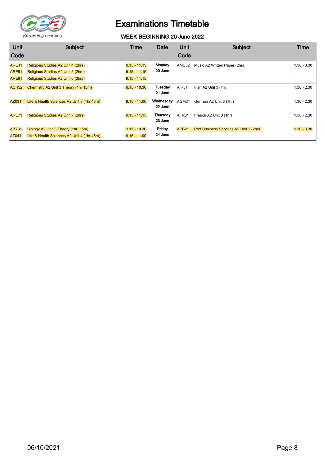

#### WEEK BEGINNING 20 June 2022

| Unit                                | <b>Subject</b>                                                                                                 | Time                                               | Date                 | Unit              | Subject                                 | Time          |
|-------------------------------------|----------------------------------------------------------------------------------------------------------------|----------------------------------------------------|----------------------|-------------------|-----------------------------------------|---------------|
| Code                                |                                                                                                                |                                                    |                      | Code              |                                         |               |
| ARE41<br>ARE51<br>ARE <sub>61</sub> | Religious Studies A2 Unit 4 (2hrs)<br>Religious Studies A2 Unit 5 (2hrs)<br>Religious Studies A2 Unit 6 (2hrs) | $9.15 - 11.15$<br>$9.15 - 11.15$<br>$9.15 - 11.15$ | Monday<br>20 June    | AMU32             | Music A2 Written Paper (2hrs)           | $1.30 - 3.30$ |
| ACH32                               | Chemistry A2 Unit 3 Theory (1hr 15m)                                                                           | $9.15 - 10.30$                                     | Tuesday<br>21 June   | AIR31             | Irish A2 Unit 3 (1hr)                   | $1.30 - 2.30$ |
| AZ031                               | Life & Health Sciences A2 Unit 3 (1hr 45m)                                                                     | $9.15 - 11.00$                                     | Wednesday<br>22 June | AGM31             | German A2 Unit 3 (1hr)                  | $1.30 - 2.30$ |
| <b>ARE71</b>                        | Religious Studies A2 Unit 7 (2hrs)                                                                             | $9.15 - 11.15$                                     | Thursday<br>23 June  | AFR31             | French A2 Unit 3 (1hr)                  | $1.30 - 2.30$ |
| ABY31<br>AZ041                      | Biology A2 Unit 3 Theory (1hr 15m)<br>Life & Health Sciences A2 Unit 4 (1hr 45m)                               | $9.15 - 10.30$<br>$9.15 - 11.00$                   | Friday<br>24 June    | APB <sub>21</sub> | Prof Business Services A2 Unit 2 (2hrs) | $1.30 - 3.30$ |